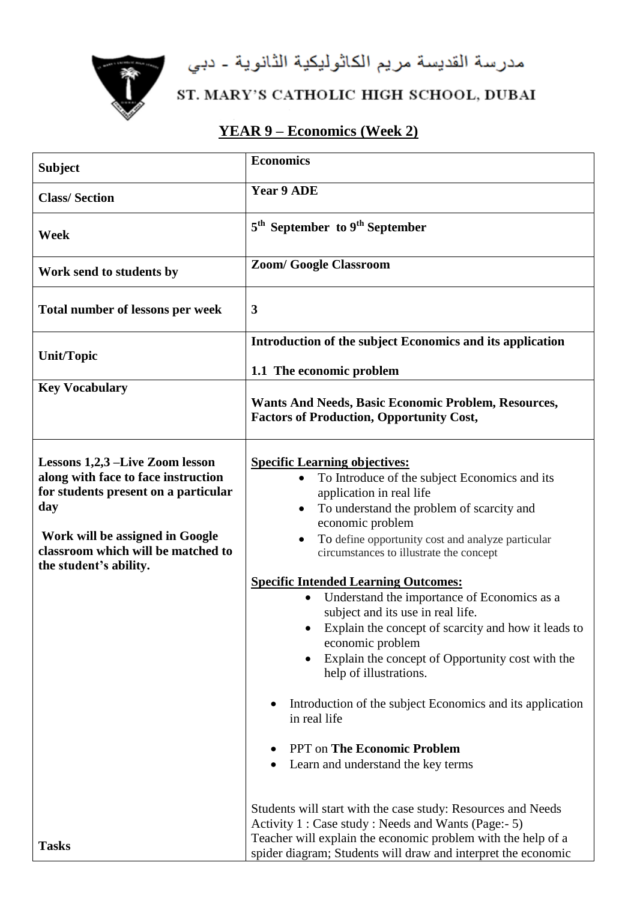مدرسة القديسة مريم الكاثوليكية الثانوية - دبي



## ST. MARY'S CATHOLIC HIGH SCHOOL, DUBAI

## **YEAR 9 – Economics (Week 2)**

| <b>Subject</b>                                                                                                                                                                                                           | <b>Economics</b>                                                                                                                                                                                                                                                                                                                                                                                                                                                                                                                                                                                                                                                                                                                                                                                   |
|--------------------------------------------------------------------------------------------------------------------------------------------------------------------------------------------------------------------------|----------------------------------------------------------------------------------------------------------------------------------------------------------------------------------------------------------------------------------------------------------------------------------------------------------------------------------------------------------------------------------------------------------------------------------------------------------------------------------------------------------------------------------------------------------------------------------------------------------------------------------------------------------------------------------------------------------------------------------------------------------------------------------------------------|
| <b>Class/Section</b>                                                                                                                                                                                                     | Year 9 ADE                                                                                                                                                                                                                                                                                                                                                                                                                                                                                                                                                                                                                                                                                                                                                                                         |
| Week                                                                                                                                                                                                                     | 5 <sup>th</sup> September to 9 <sup>th</sup> September                                                                                                                                                                                                                                                                                                                                                                                                                                                                                                                                                                                                                                                                                                                                             |
| Work send to students by                                                                                                                                                                                                 | <b>Zoom/ Google Classroom</b>                                                                                                                                                                                                                                                                                                                                                                                                                                                                                                                                                                                                                                                                                                                                                                      |
| <b>Total number of lessons per week</b>                                                                                                                                                                                  | 3                                                                                                                                                                                                                                                                                                                                                                                                                                                                                                                                                                                                                                                                                                                                                                                                  |
| <b>Unit/Topic</b>                                                                                                                                                                                                        | Introduction of the subject Economics and its application<br>1.1 The economic problem                                                                                                                                                                                                                                                                                                                                                                                                                                                                                                                                                                                                                                                                                                              |
| <b>Key Vocabulary</b>                                                                                                                                                                                                    | <b>Wants And Needs, Basic Economic Problem, Resources,</b><br><b>Factors of Production, Opportunity Cost,</b>                                                                                                                                                                                                                                                                                                                                                                                                                                                                                                                                                                                                                                                                                      |
| Lessons 1,2,3 –Live Zoom lesson<br>along with face to face instruction<br>for students present on a particular<br>day<br>Work will be assigned in Google<br>classroom which will be matched to<br>the student's ability. | <b>Specific Learning objectives:</b><br>To Introduce of the subject Economics and its<br>application in real life<br>To understand the problem of scarcity and<br>$\bullet$<br>economic problem<br>To define opportunity cost and analyze particular<br>circumstances to illustrate the concept<br><b>Specific Intended Learning Outcomes:</b><br>Understand the importance of Economics as a<br>$\bullet$<br>subject and its use in real life.<br>Explain the concept of scarcity and how it leads to<br>economic problem<br>Explain the concept of Opportunity cost with the<br>$\bullet$<br>help of illustrations.<br>Introduction of the subject Economics and its application<br>in real life<br><b>PPT</b> on <b>The Economic Problem</b><br>Learn and understand the key terms<br>$\bullet$ |
| <b>Tasks</b>                                                                                                                                                                                                             | Students will start with the case study: Resources and Needs<br>Activity 1 : Case study : Needs and Wants (Page:- 5)<br>Teacher will explain the economic problem with the help of a<br>spider diagram; Students will draw and interpret the economic                                                                                                                                                                                                                                                                                                                                                                                                                                                                                                                                              |